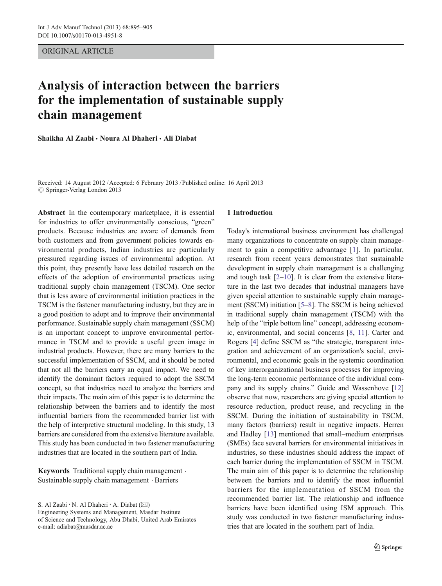ORIGINAL ARTICLE

# Analysis of interaction between the barriers for the implementation of sustainable supply chain management

Shaikha Al Zaabi · Noura Al Dhaheri · Ali Diabat

Received: 14 August 2012 /Accepted: 6 February 2013 / Published online: 16 April 2013  $\oslash$  Springer-Verlag London 2013

Abstract In the contemporary marketplace, it is essential for industries to offer environmentally conscious, "green" products. Because industries are aware of demands from both customers and from government policies towards environmental products, Indian industries are particularly pressured regarding issues of environmental adoption. At this point, they presently have less detailed research on the effects of the adoption of environmental practices using traditional supply chain management (TSCM). One sector that is less aware of environmental initiation practices in the TSCM is the fastener manufacturing industry, but they are in a good position to adopt and to improve their environmental performance. Sustainable supply chain management (SSCM) is an important concept to improve environmental performance in TSCM and to provide a useful green image in industrial products. However, there are many barriers to the successful implementation of SSCM, and it should be noted that not all the barriers carry an equal impact. We need to identify the dominant factors required to adopt the SSCM concept, so that industries need to analyze the barriers and their impacts. The main aim of this paper is to determine the relationship between the barriers and to identify the most influential barriers from the recommended barrier list with the help of interpretive structural modeling. In this study, 13 barriers are considered from the extensive literature available. This study has been conducted in two fastener manufacturing industries that are located in the southern part of India.

Keywords Traditional supply chain management . Sustainable supply chain management . Barriers

S. Al Zaabi  $\cdot$  N. Al Dhaheri  $\cdot$  A. Diabat ( $\boxtimes$ ) Engineering Systems and Management, Masdar Institute of Science and Technology, Abu Dhabi, United Arab Emirates e-mail: adiabat@masdar.ac.ae

#### 1 Introduction

Today's international business environment has challenged many organizations to concentrate on supply chain management to gain a competitive advantage [[1](#page-8-0)]. In particular, research from recent years demonstrates that sustainable development in supply chain management is a challenging and tough task  $[2-10]$  $[2-10]$  $[2-10]$  $[2-10]$ . It is clear from the extensive literature in the last two decades that industrial managers have given special attention to sustainable supply chain management (SSCM) initiation [\[5](#page-8-0)–[8](#page-9-0)]. The SSCM is being achieved in traditional supply chain management (TSCM) with the help of the "triple bottom line" concept, addressing economic, environmental, and social concerns [[8,](#page-9-0) [11\]](#page-9-0). Carter and Rogers [[4\]](#page-8-0) define SSCM as "the strategic, transparent integration and achievement of an organization's social, environmental, and economic goals in the systemic coordination of key interorganizational business processes for improving the long-term economic performance of the individual company and its supply chains." Guide and Wassenhove [\[12](#page-9-0)] observe that now, researchers are giving special attention to resource reduction, product reuse, and recycling in the SSCM. During the initiation of sustainability in TSCM, many factors (barriers) result in negative impacts. Herren and Hadley [\[13](#page-9-0)] mentioned that small–medium enterprises (SMEs) face several barriers for environmental initiatives in industries, so these industries should address the impact of each barrier during the implementation of SSCM in TSCM. The main aim of this paper is to determine the relationship between the barriers and to identify the most influential barriers for the implementation of SSCM from the recommended barrier list. The relationship and influence barriers have been identified using ISM approach. This study was conducted in two fastener manufacturing industries that are located in the southern part of India.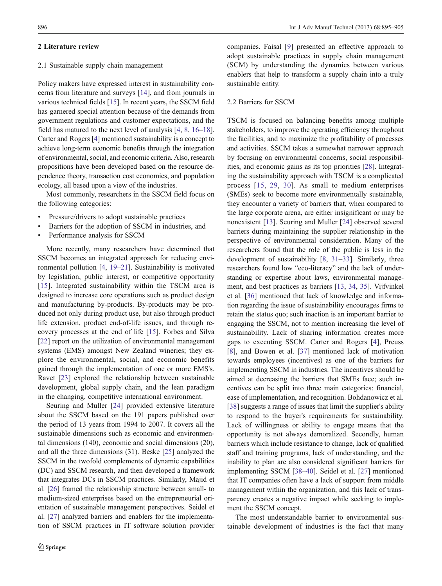#### 2 Literature review

#### 2.1 Sustainable supply chain management

Policy makers have expressed interest in sustainability concerns from literature and surveys [[14\]](#page-9-0), and from journals in various technical fields [[15\]](#page-9-0). In recent years, the SSCM field has garnered special attention because of the demands from government regulations and customer expectations, and the field has matured to the next level of analysis [\[4](#page-8-0), [8](#page-9-0), [16](#page-9-0)–[18](#page-9-0)]. Carter and Rogers [[4\]](#page-8-0) mentioned sustainability is a concept to achieve long-term economic benefits through the integration of environmental, social, and economic criteria. Also, research propositions have been developed based on the resource dependence theory, transaction cost economics, and population ecology, all based upon a view of the industries.

Most commonly, researchers in the SSCM field focus on the following categories:

- Pressure/drivers to adopt sustainable practices
- Barriers for the adoption of SSCM in industries, and
- Performance analysis for SSCM

More recently, many researchers have determined that SSCM becomes an integrated approach for reducing environmental pollution [[4,](#page-8-0) [19](#page-9-0)–[21\]](#page-9-0). Sustainability is motivated by legislation, public interest, or competitive opportunity [\[15\]](#page-9-0). Integrated sustainability within the TSCM area is designed to increase core operations such as product design and manufacturing by-products. By-products may be produced not only during product use, but also through product life extension, product end-of-life issues, and through recovery processes at the end of life [\[15](#page-9-0)]. Forbes and Silva [\[22](#page-9-0)] report on the utilization of environmental management systems (EMS) amongst New Zealand wineries; they explore the environmental, social, and economic benefits gained through the implementation of one or more EMS's. Ravet [[23](#page-9-0)] explored the relationship between sustainable development, global supply chain, and the lean paradigm in the changing, competitive international environment.

Seuring and Muller [\[24](#page-9-0)] provided extensive literature about the SSCM based on the 191 papers published over the period of 13 years from 1994 to 2007. It covers all the sustainable dimensions such as economic and environmental dimensions (140), economic and social dimensions (20), and all the three dimensions (31). Beske [[25\]](#page-9-0) analyzed the SSCM in the twofold complements of dynamic capabilities (DC) and SSCM research, and then developed a framework that integrates DCs in SSCM practices. Similarly, Majid et al. [\[26](#page-9-0)] framed the relationship structure between small- to medium-sized enterprises based on the entrepreneurial orientation of sustainable management perspectives. Seidel et al. [\[27](#page-9-0)] analyzed barriers and enablers for the implementation of SSCM practices in IT software solution provider companies. Faisal [\[9](#page-9-0)] presented an effective approach to adopt sustainable practices in supply chain management (SCM) by understanding the dynamics between various enablers that help to transform a supply chain into a truly sustainable entity.

### 2.2 Barriers for SSCM

TSCM is focused on balancing benefits among multiple stakeholders, to improve the operating efficiency throughout the facilities, and to maximize the profitability of processes and activities. SSCM takes a somewhat narrower approach by focusing on environmental concerns, social responsibilities, and economic gains as its top priorities [[28\]](#page-9-0). Integrating the sustainability approach with TSCM is a complicated process [[15](#page-9-0), [29](#page-9-0), [30](#page-9-0)]. As small to medium enterprises (SMEs) seek to become more environmentally sustainable, they encounter a variety of barriers that, when compared to the large corporate arena, are either insignificant or may be nonexistent [\[13](#page-9-0)]. Seuring and Muller [\[24](#page-9-0)] observed several barriers during maintaining the supplier relationship in the perspective of environmental consideration. Many of the researchers found that the role of the public is less in the development of sustainability [[8,](#page-9-0) [31](#page-9-0)–[33\]](#page-9-0). Similarly, three researchers found low "eco-literacy" and the lack of understanding or expertise about laws, environmental management, and best practices as barriers [\[13](#page-9-0), [34,](#page-9-0) [35](#page-9-0)]. Vijfvinkel et al. [[36\]](#page-9-0) mentioned that lack of knowledge and information regarding the issue of sustainability encourages firms to retain the status quo; such inaction is an important barrier to engaging the SSCM, not to mention increasing the level of sustainability. Lack of sharing information creates more gaps to executing SSCM. Carter and Rogers [[4\]](#page-8-0), Preuss [\[8](#page-9-0)], and Bowen et al. [\[37](#page-9-0)] mentioned lack of motivation towards employees (incentives) as one of the barriers for implementing SSCM in industries. The incentives should be aimed at decreasing the barriers that SMEs face; such incentives can be split into three main categories: financial, ease of implementation, and recognition. Bohdanowicz et al. [\[38](#page-9-0)] suggests a range of issues that limit the supplier's ability to respond to the buyer's requirements for sustainability. Lack of willingness or ability to engage means that the opportunity is not always demoralized. Secondly, human barriers which include resistance to change, lack of qualified staff and training programs, lack of understanding, and the inability to plan are also considered significant barriers for implementing SSCM [\[38](#page-9-0)–[40](#page-9-0)]. Seidel et al. [[27\]](#page-9-0) mentioned that IT companies often have a lack of support from middle management within the organization, and this lack of transparency creates a negative impact while seeking to implement the SSCM concept.

The most understandable barrier to environmental sustainable development of industries is the fact that many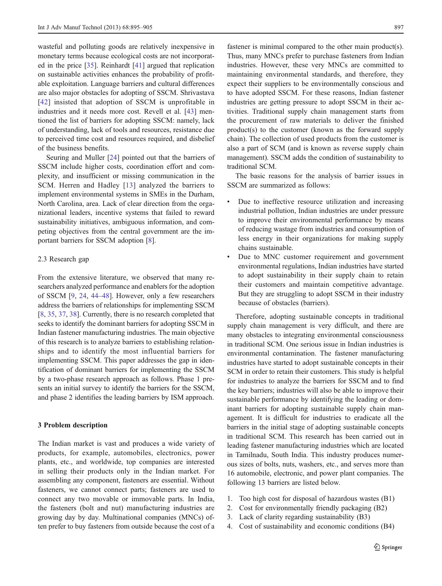wasteful and polluting goods are relatively inexpensive in monetary terms because ecological costs are not incorporated in the price [[35\]](#page-9-0). Reinhardt [[41\]](#page-9-0) argued that replication on sustainable activities enhances the probability of profitable exploitation. Language barriers and cultural differences are also major obstacles for adopting of SSCM. Shrivastava [\[42\]](#page-9-0) insisted that adoption of SSCM is unprofitable in industries and it needs more cost. Revell et al. [[43\]](#page-9-0) mentioned the list of barriers for adopting SSCM: namely, lack of understanding, lack of tools and resources, resistance due to perceived time cost and resources required, and disbelief of the business benefits.

Seuring and Muller [[24\]](#page-9-0) pointed out that the barriers of SSCM include higher costs, coordination effort and complexity, and insufficient or missing communication in the SCM. Herren and Hadley [\[13\]](#page-9-0) analyzed the barriers to implement environmental systems in SMEs in the Durham, North Carolina, area. Lack of clear direction from the organizational leaders, incentive systems that failed to reward sustainability initiatives, ambiguous information, and competing objectives from the central government are the important barriers for SSCM adoption [[8\]](#page-9-0).

#### 2.3 Research gap

From the extensive literature, we observed that many researchers analyzed performance and enablers for the adoption of SSCM [[9,](#page-9-0) [24,](#page-9-0) [44](#page-9-0)–[48](#page-10-0)]. However, only a few researchers address the barriers of relationships for implementing SSCM [\[8](#page-9-0), [35,](#page-9-0) [37,](#page-9-0) [38\]](#page-9-0). Currently, there is no research completed that seeks to identify the dominant barriers for adopting SSCM in Indian fastener manufacturing industries. The main objective of this research is to analyze barriers to establishing relationships and to identify the most influential barriers for implementing SSCM. This paper addresses the gap in identification of dominant barriers for implementing the SSCM by a two-phase research approach as follows. Phase 1 presents an initial survey to identify the barriers for the SSCM, and phase 2 identifies the leading barriers by ISM approach.

#### 3 Problem description

The Indian market is vast and produces a wide variety of products, for example, automobiles, electronics, power plants, etc., and worldwide, top companies are interested in selling their products only in the Indian market. For assembling any component, fasteners are essential. Without fasteners, we cannot connect parts; fasteners are used to connect any two movable or immovable parts. In India, the fasteners (bolt and nut) manufacturing industries are growing day by day. Multinational companies (MNCs) often prefer to buy fasteners from outside because the cost of a

fastener is minimal compared to the other main product(s). Thus, many MNCs prefer to purchase fasteners from Indian industries. However, these very MNCs are committed to maintaining environmental standards, and therefore, they expect their suppliers to be environmentally conscious and to have adopted SSCM. For these reasons, Indian fastener industries are getting pressure to adopt SSCM in their activities. Traditional supply chain management starts from the procurement of raw materials to deliver the finished product(s) to the customer (known as the forward supply chain). The collection of used products from the customer is also a part of SCM (and is known as reverse supply chain management). SSCM adds the condition of sustainability to traditional SCM.

The basic reasons for the analysis of barrier issues in SSCM are summarized as follows:

- Due to ineffective resource utilization and increasing industrial pollution, Indian industries are under pressure to improve their environmental performance by means of reducing wastage from industries and consumption of less energy in their organizations for making supply chains sustainable.
- Due to MNC customer requirement and government environmental regulations, Indian industries have started to adopt sustainability in their supply chain to retain their customers and maintain competitive advantage. But they are struggling to adopt SSCM in their industry because of obstacles (barriers).

Therefore, adopting sustainable concepts in traditional supply chain management is very difficult, and there are many obstacles to integrating environmental consciousness in traditional SCM. One serious issue in Indian industries is environmental contamination. The fastener manufacturing industries have started to adopt sustainable concepts in their SCM in order to retain their customers. This study is helpful for industries to analyze the barriers for SSCM and to find the key barriers; industries will also be able to improve their sustainable performance by identifying the leading or dominant barriers for adopting sustainable supply chain management. It is difficult for industries to eradicate all the barriers in the initial stage of adopting sustainable concepts in traditional SCM. This research has been carried out in leading fastener manufacturing industries which are located in Tamilnadu, South India. This industry produces numerous sizes of bolts, nuts, washers, etc., and serves more than 16 automobile, electronic, and power plant companies. The following 13 barriers are listed below.

- 1. Too high cost for disposal of hazardous wastes (B1)
- 2. Cost for environmentally friendly packaging (B2)
- 3. Lack of clarity regarding sustainability (B3)
- 4. Cost of sustainability and economic conditions (B4)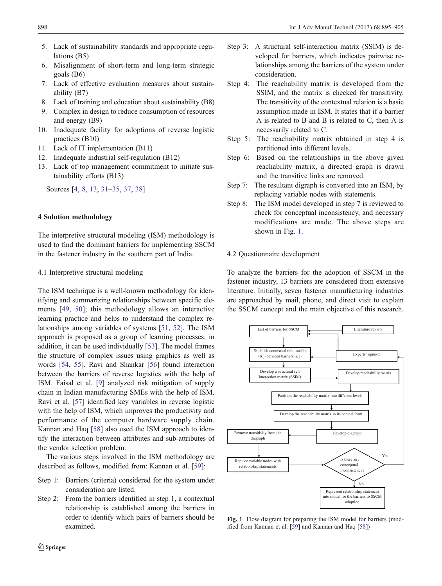- 5. Lack of sustainability standards and appropriate regulations (B5)
- 6. Misalignment of short-term and long-term strategic goals (B6)
- 7. Lack of effective evaluation measures about sustainability (B7)
- 8. Lack of training and education about sustainability (B8)
- 9. Complex in design to reduce consumption of resources and energy (B9)
- 10. Inadequate facility for adoptions of reverse logistic practices (B10)
- 11. Lack of IT implementation (B11)
- 12. Inadequate industrial self-regulation (B12)
- 13. Lack of top management commitment to initiate sustainability efforts (B13)

Sources [[4,](#page-8-0) [8](#page-9-0), [13,](#page-9-0) [31](#page-9-0)–[35](#page-9-0), [37,](#page-9-0) [38](#page-9-0)]

# 4 Solution methodology

The interpretive structural modeling (ISM) methodology is used to find the dominant barriers for implementing SSCM in the fastener industry in the southern part of India.

# 4.1 Interpretive structural modeling

The ISM technique is a well-known methodology for identifying and summarizing relationships between specific elements [\[49,](#page-10-0) [50](#page-10-0)]; this methodology allows an interactive learning practice and helps to understand the complex relationships among variables of systems [\[51](#page-10-0), [52](#page-10-0)]. The ISM approach is proposed as a group of learning processes; in addition, it can be used individually [[53\]](#page-10-0). The model frames the structure of complex issues using graphics as well as words [[54,](#page-10-0) [55\]](#page-10-0). Ravi and Shankar [[56\]](#page-10-0) found interaction between the barriers of reverse logistics with the help of ISM. Faisal et al. [[9\]](#page-9-0) analyzed risk mitigation of supply chain in Indian manufacturing SMEs with the help of ISM. Ravi et al. [[57\]](#page-10-0) identified key variables in reverse logistic with the help of ISM, which improves the productivity and performance of the computer hardware supply chain. Kannan and Haq [[58\]](#page-10-0) also used the ISM approach to identify the interaction between attributes and sub-attributes of the vendor selection problem.

The various steps involved in the ISM methodology are described as follows, modified from: Kannan et al. [\[59](#page-10-0)]:

- Step 1: Barriers (criteria) considered for the system under consideration are listed.
- Step 2: From the barriers identified in step 1, a contextual relationship is established among the barriers in order to identify which pairs of barriers should be examined.
- Step 3: A structural self-interaction matrix (SSIM) is developed for barriers, which indicates pairwise relationships among the barriers of the system under consideration.
- Step 4: The reachability matrix is developed from the SSIM, and the matrix is checked for transitivity. The transitivity of the contextual relation is a basic assumption made in ISM. It states that if a barrier A is related to B and B is related to C, then A is necessarily related to C.
- Step 5: The reachability matrix obtained in step 4 is partitioned into different levels.
- Step 6: Based on the relationships in the above given reachability matrix, a directed graph is drawn and the transitive links are removed.
- Step 7: The resultant digraph is converted into an ISM, by replacing variable nodes with statements.
- Step 8: The ISM model developed in step 7 is reviewed to check for conceptual inconsistency, and necessary modifications are made. The above steps are shown in Fig. 1.

# 4.2 Questionnaire development

To analyze the barriers for the adoption of SSCM in the fastener industry, 13 barriers are considered from extensive literature. Initially, seven fastener manufacturing industries are approached by mail, phone, and direct visit to explain the SSCM concept and the main objective of this research.



Fig. 1 Flow diagram for preparing the ISM model for barriers (modified from Kannan et al. [\[59\]](#page-10-0) and Kannan and Haq [[58](#page-10-0)])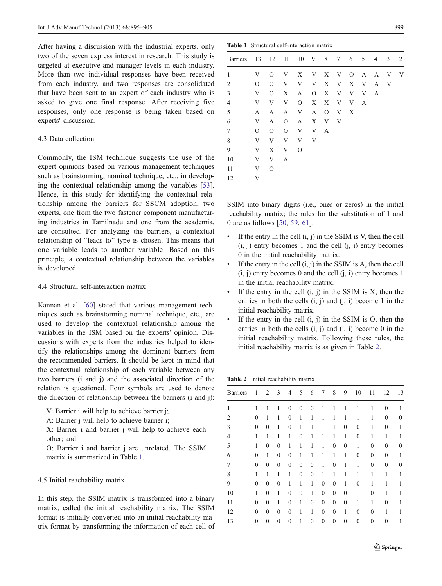After having a discussion with the industrial experts, only two of the seven express interest in research. This study is targeted at executive and manager levels in each industry. More than two individual responses have been received from each industry, and two responses are consolidated that have been sent to an expert of each industry who is asked to give one final response. After receiving five responses, only one response is being taken based on experts' discussion.

# 4.3 Data collection

Commonly, the ISM technique suggests the use of the expert opinions based on various management techniques such as brainstorming, nominal technique, etc., in developing the contextual relationship among the variables [\[53](#page-10-0)]. Hence, in this study for identifying the contextual relationship among the barriers for SSCM adoption, two experts, one from the two fastener component manufacturing industries in Tamilnadu and one from the academia, are consulted. For analyzing the barriers, a contextual relationship of "leads to" type is chosen. This means that one variable leads to another variable. Based on this principle, a contextual relationship between the variables is developed.

#### 4.4 Structural self-interaction matrix

Kannan et al. [[60\]](#page-10-0) stated that various management techniques such as brainstorming nominal technique, etc., are used to develop the contextual relationship among the variables in the ISM based on the experts' opinion. Discussions with experts from the industries helped to identify the relationships among the dominant barriers from the recommended barriers. It should be kept in mind that the contextual relationship of each variable between any two barriers (i and j) and the associated direction of the relation is questioned. Four symbols are used to denote the direction of relationship between the barriers (i and j):

V: Barrier i will help to achieve barrier j; A: Barrier j will help to achieve barrier i; X: Barrier i and barrier j will help to achieve each other; and

O: Barrier i and barrier j are unrelated. The SSIM matrix is summarized in Table 1.

# 4.5 Initial reachability matrix

In this step, the SSIM matrix is transformed into a binary matrix, called the initial reachability matrix. The SSIM format is initially converted into an initial reachability matrix format by transforming the information of each cell of

| <b>Table 1</b> Structural self-interaction matrix |
|---------------------------------------------------|
|                                                   |

| <b>Barriers</b> | 13 | 12             | 11       | 10             | 9             | 8              | 7 | 6        | 5 | 4 | 3 | 2 |
|-----------------|----|----------------|----------|----------------|---------------|----------------|---|----------|---|---|---|---|
| 1               | V  | O              | V        | Χ              | V             | Χ              | V | $\Omega$ | А | А | V | V |
| 2               | O  | $\Omega$       | V        | V              | V             | X              | V | X        | V | A | V |   |
| 3               | V  | $\overline{O}$ | Χ        | А              | $\mathcal{O}$ | X              | V | V        | V | A |   |   |
| $\overline{4}$  | V  | V              | V        | O              | X             | X              | V | V        | A |   |   |   |
| 5               | А  | А              | А        | V              | А             | $\overline{O}$ | V | X        |   |   |   |   |
| 6               | V  | A              | $\Omega$ | А              | X             | V              | V |          |   |   |   |   |
| 7               | O  | $\Omega$       | $\Omega$ | V              | V             | А              |   |          |   |   |   |   |
| 8               | V  | V              | V        | V              | V             |                |   |          |   |   |   |   |
| 9               | V  | X              | V        | $\overline{O}$ |               |                |   |          |   |   |   |   |
| 10              | V  | V              | А        |                |               |                |   |          |   |   |   |   |
| 11              | V  | $\Omega$       |          |                |               |                |   |          |   |   |   |   |
| 12              | V  |                |          |                |               |                |   |          |   |   |   |   |

SSIM into binary digits (i.e., ones or zeros) in the initial reachability matrix; the rules for the substitution of 1 and 0 are as follows [\[50](#page-10-0), [59,](#page-10-0) [61](#page-10-0)]:

- If the entry in the cell  $(i, j)$  in the SSIM is V, then the cell  $(i, j)$  entry becomes 1 and the cell  $(i, i)$  entry becomes 0 in the initial reachability matrix.
- If the entry in the cell  $(i, j)$  in the SSIM is A, then the cell  $(i, j)$  entry becomes 0 and the cell  $(i, i)$  entry becomes 1 in the initial reachability matrix.
- If the entry in the cell  $(i, j)$  in the SSIM is X, then the entries in both the cells  $(i, j)$  and  $(j, i)$  become 1 in the initial reachability matrix.
- If the entry in the cell  $(i, j)$  in the SSIM is O, then the entries in both the cells  $(i, j)$  and  $(j, i)$  become 0 in the initial reachability matrix. Following these rules, the initial reachability matrix is as given in Table 2.

Table 2 Initial reachability matrix

| <b>Barriers</b> | 1            | $\overline{c}$ | 3                | 4            | 5            | 6            | 7                | 8                | 9              | 10           | 11           | 12           | 13       |
|-----------------|--------------|----------------|------------------|--------------|--------------|--------------|------------------|------------------|----------------|--------------|--------------|--------------|----------|
| 1               | $\mathbf{1}$ | 1              | 1                | $\theta$     | $\theta$     | 0            | 1                | 1                | 1              | 1            | 1            | $\theta$     | 1        |
| 2               | $\theta$     | 1              | 1                | $\mathbf{0}$ | $\mathbf{1}$ | 1            | 1                | 1                | 1              | 1            | 1            | 0            | $\theta$ |
| 3               | $\theta$     | $\theta$       | 1                | $\theta$     | 1            | 1            | 1                | 1                | $\theta$       | $\theta$     | 1            | $\theta$     | 1        |
| 4               | $\mathbf{1}$ | 1              | 1                | 1            | $\mathbf{0}$ | 1            | 1                | 1                | 1              | $\theta$     | 1            | 1            | 1        |
| 5               | 1            | $\theta$       | $\theta$         | 1            | 1            | 1            | 1                | $\theta$         | $\theta$       | 1            | $\theta$     | $\theta$     | $\Omega$ |
| 6               | $\mathbf{0}$ | $\mathbf{1}$   | $\mathbf{0}$     | $\mathbf{0}$ | 1            | 1            | 1                | $\mathbf{1}$     | 1              | $\theta$     | $\mathbf{0}$ | $\mathbf{0}$ | 1        |
| 7               | $\theta$     | $\theta$       | $\mathbf{0}$     | $\mathbf{0}$ | $\mathbf{0}$ | $\mathbf{0}$ | 1                | $\theta$         | 1              | 1            | $\theta$     | $\theta$     | $\theta$ |
| 8               | 1            | 1              | 1                | 1            | $\mathbf{0}$ | $\mathbf{0}$ | 1                | $\mathbf{1}$     | 1              | 1            | 1            | 1            | 1        |
| 9               | $\theta$     | $\theta$       | $\theta$         | 1            | 1            | 1            | $\mathbf{0}$     | $\theta$         | 1              | $\theta$     | 1            | 1            | 1        |
| 10              | $\mathbf{1}$ | $\mathbf{0}$   | 1                | $\theta$     | $\mathbf{0}$ | 1            | $\mathbf{0}$     | $\boldsymbol{0}$ | $\mathbf{0}$   | 1            | $\mathbf{0}$ | 1            | 1        |
| 11              | $\theta$     | $\mathbf{0}$   | 1                | $\mathbf{0}$ | 1            | $\mathbf{0}$ | $\mathbf{0}$     | $\mathbf{0}$     | $\overline{0}$ | 1            | 1            | $\theta$     | 1        |
| 12              | $\theta$     | $\mathbf{0}$   | $\boldsymbol{0}$ | $\mathbf{0}$ | 1            | 1            | $\boldsymbol{0}$ | $\mathbf{0}$     | 1              | $\mathbf{0}$ | 0            | 1            | 1        |
| 13              | $\mathbf{0}$ | $\mathbf{0}$   | $\mathbf{0}$     | $\mathbf{0}$ | 1            | 0            | $\mathbf{0}$     | $\mathbf{0}$     | $\mathbf{0}$   | $\mathbf{0}$ | $\mathbf{0}$ | $\mathbf{0}$ | 1        |
|                 |              |                |                  |              |              |              |                  |                  |                |              |              |              |          |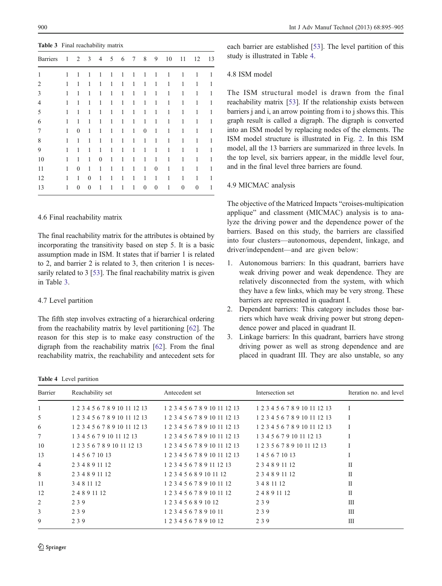|  |  | <b>Table 3</b> Final reachability matrix |  |
|--|--|------------------------------------------|--|
|--|--|------------------------------------------|--|

| <b>Barriers</b> | 1 | 2            | 3            | 4        | 5 | 6 | 7 | 8            | 9        | 10 | 11       | 12       | 13 |
|-----------------|---|--------------|--------------|----------|---|---|---|--------------|----------|----|----------|----------|----|
| 1               | 1 | 1            | 1            | 1        | 1 | 1 | 1 | 1            | 1        | 1  | 1        | 1        | 1  |
| 2               | 1 | 1            | 1            | 1        | 1 | 1 | 1 | 1            | 1        | 1  | 1        | 1        | 1  |
| 3               | 1 | 1            | 1            | 1        | 1 | 1 | 1 | 1            | 1        | 1  | 1        | 1        | 1  |
| 4               | 1 | 1            | 1            | 1        | 1 | 1 | 1 | 1            | 1        | 1  | 1        | 1        | 1  |
| 5               | 1 | 1            | 1            | 1        | 1 | 1 | 1 | 1            | 1        | 1  | 1        | 1        | 1  |
| 6               | 1 | 1            | 1            | 1        | 1 | 1 | 1 | 1            | 1        | 1  | 1        | 1        | 1  |
| 7               | 1 | $\mathbf{0}$ | 1            | 1        | 1 | 1 | 1 | $\mathbf{0}$ | 1        | 1  | 1        | 1        | 1  |
| 8               | 1 | 1            | 1            | 1        | 1 | 1 | 1 | 1            | 1        | 1  | 1        | 1        | 1  |
| 9               | 1 | 1            | 1            | 1        | 1 | 1 | 1 | 1            | 1        | 1  | 1        | 1        | 1  |
| 10              | 1 | 1            | 1            | $\theta$ | 1 | 1 | 1 | 1            | 1        | 1  | 1        | 1        | 1  |
| 11              | 1 | $\mathbf{0}$ | 1            | 1        | 1 | 1 | 1 | 1            | $\theta$ | 1  | 1        | 1        | 1  |
| 12              | 1 | 1            | $\theta$     | 1        | 1 | 1 | 1 | 1            | 1        | 1  | 1        | 1        | 1  |
| 13              | 1 | $\mathbf{0}$ | $\mathbf{0}$ | 1        | 1 | 1 | 1 | $\mathbf{0}$ | $\theta$ | 1  | $\theta$ | $\theta$ | 1  |

# 4.6 Final reachability matrix

The final reachability matrix for the attributes is obtained by incorporating the transitivity based on step 5. It is a basic assumption made in ISM. It states that if barrier 1 is related to 2, and barrier 2 is related to 3, then criterion 1 is neces-sarily related to 3 [[53\]](#page-10-0). The final reachability matrix is given in Table 3.

### 4.7 Level partition

The fifth step involves extracting of a hierarchical ordering from the reachability matrix by level partitioning [[62\]](#page-10-0). The reason for this step is to make easy construction of the digraph from the reachability matrix [\[62](#page-10-0)]. From the final reachability matrix, the reachability and antecedent sets for

Table 4 Level partition

each barrier are established [\[53](#page-10-0)]. The level partition of this study is illustrated in Table 4.

#### 4.8 ISM model

The ISM structural model is drawn from the final reachability matrix [\[53](#page-10-0)]. If the relationship exists between barriers j and i, an arrow pointing from i to j shows this. This graph result is called a digraph. The digraph is converted into an ISM model by replacing nodes of the elements. The ISM model structure is illustrated in Fig. [2](#page-6-0). In this ISM model, all the 13 barriers are summarized in three levels. In the top level, six barriers appear, in the middle level four, and in the final level three barriers are found.

### 4.9 MICMAC analysis

The objective of the Matriced Impacts "croises-multipication applique" and classment (MICMAC) analysis is to analyze the driving power and the dependence power of the barriers. Based on this study, the barriers are classified into four clusters—autonomous, dependent, linkage, and driver/independent—and are given below:

- 1. Autonomous barriers: In this quadrant, barriers have weak driving power and weak dependence. They are relatively disconnected from the system, with which they have a few links, which may be very strong. These barriers are represented in quadrant I.
- 2. Dependent barriers: This category includes those barriers which have weak driving power but strong dependence power and placed in quadrant II.
- 3. Linkage barriers: In this quadrant, barriers have strong driving power as well as strong dependence and are placed in quadrant III. They are also unstable, so any

| Barrier        | Reachability set              | Antecedent set                | Intersection set              | Iteration no. and level |  |
|----------------|-------------------------------|-------------------------------|-------------------------------|-------------------------|--|
| 1              | 1 2 3 4 5 6 7 8 9 10 11 12 13 | 1 2 3 4 5 6 7 8 9 10 11 12 13 | 1 2 3 4 5 6 7 8 9 10 11 12 13 |                         |  |
| 5              | 1 2 3 4 5 6 7 8 9 10 11 12 13 | 1 2 3 4 5 6 7 8 9 10 11 12 13 | 1 2 3 4 5 6 7 8 9 10 11 12 13 | T                       |  |
| 6              | 1 2 3 4 5 6 7 8 9 10 11 12 13 | 1 2 3 4 5 6 7 8 9 10 11 12 13 | 1 2 3 4 5 6 7 8 9 10 11 12 13 | T                       |  |
|                | 1 3 4 5 6 7 9 10 11 12 13     | 1 2 3 4 5 6 7 8 9 10 11 12 13 | 1 3 4 5 6 7 9 10 11 12 13     |                         |  |
| 10             | 1 2 3 5 6 7 8 9 10 11 12 13   | 1 2 3 4 5 6 7 8 9 10 11 12 13 | 1 2 3 5 6 7 8 9 10 11 12 13   |                         |  |
| 13             | 145671013                     | 1 2 3 4 5 6 7 8 9 10 11 12 13 | 145671013                     |                         |  |
| $\overline{4}$ | 2 3 4 8 9 11 12               | 1 2 3 4 5 6 7 8 9 11 12 13    | 2 3 4 8 9 11 12               | $\mathcal{I}$           |  |
| 8              | 2 3 4 8 9 11 12               | 1 2 3 4 5 6 8 9 10 11 12      | 2 3 4 8 9 11 12               | $\mathbf{H}$            |  |
| 11             | 3 4 8 11 12                   | 1 2 3 4 5 6 7 8 9 10 11 12    | 3 4 8 11 12                   | $\mathbf{I}$            |  |
| 12             | 24891112                      | 1 2 3 4 5 6 7 8 9 10 11 12    | 2 4 8 9 11 12                 | $\mathbf{I}$            |  |
| 2              | 239                           | 1 2 3 4 5 6 8 9 10 12         | 239                           | Ш                       |  |
| 3              | 239                           | 1 2 3 4 5 6 7 8 9 10 11       | 239                           | Ш                       |  |
| 9              | 239                           | 1 2 3 4 5 6 7 8 9 10 12       | 239                           | Ш                       |  |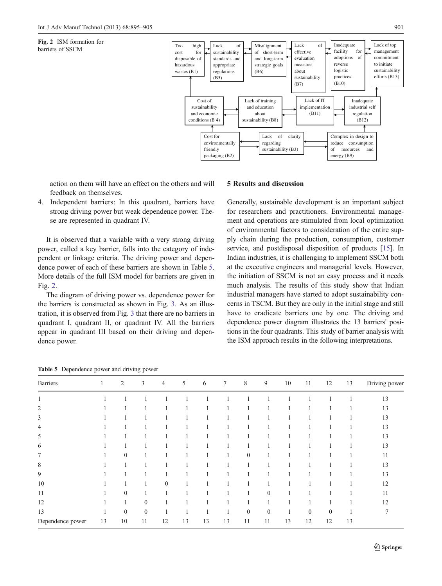<span id="page-6-0"></span>Fig. 2 ISM formation for barriers of SSCM



action on them will have an effect on the others and will feedback on themselves.

4. Independent barriers: In this quadrant, barriers have strong driving power but weak dependence power. These are represented in quadrant IV.

It is observed that a variable with a very strong driving power, called a key barrier, falls into the category of independent or linkage criteria. The driving power and dependence power of each of these barriers are shown in Table 5. More details of the full ISM model for barriers are given in Fig. 2.

The diagram of driving power vs. dependence power for the barriers is constructed as shown in Fig. [3.](#page-7-0) As an illustration, it is observed from Fig. [3](#page-7-0) that there are no barriers in quadrant I, quadrant II, or quadrant IV. All the barriers appear in quadrant III based on their driving and dependence power.

# 5 Results and discussion

Generally, sustainable development is an important subject for researchers and practitioners. Environmental management and operations are stimulated from local optimization of environmental factors to consideration of the entire supply chain during the production, consumption, customer service, and postdisposal disposition of products [[15\]](#page-9-0). In Indian industries, it is challenging to implement SSCM both at the executive engineers and managerial levels. However, the initiation of SSCM is not an easy process and it needs much analysis. The results of this study show that Indian industrial managers have started to adopt sustainability concerns in TSCM. But they are only in the initial stage and still have to eradicate barriers one by one. The driving and dependence power diagram illustrates the 13 barriers' positions in the four quadrants. This study of barrier analysis with the ISM approach results in the following interpretations.

Table 5 Dependence power and driving power

| <b>Barriers</b>  |    | $\overline{2}$   | 3                | 4            | 5            | 6  | 7  | 8                | 9            | 10           | 11           | 12           | 13 | Driving power |
|------------------|----|------------------|------------------|--------------|--------------|----|----|------------------|--------------|--------------|--------------|--------------|----|---------------|
|                  |    |                  |                  |              |              |    |    |                  |              |              |              |              |    | 13            |
| 2                |    |                  |                  |              |              |    |    |                  |              |              |              |              |    | 13            |
| 3                |    |                  |                  |              |              |    |    |                  |              |              |              |              |    | 13            |
| 4                |    |                  |                  |              | 1            |    |    |                  |              |              |              |              |    | 13            |
| 5                |    |                  |                  |              | 1            |    |    |                  |              |              |              |              |    | 13            |
| 6                |    |                  |                  |              |              |    |    |                  |              |              |              |              |    | 13            |
| 7                |    | $\boldsymbol{0}$ |                  |              | $\mathbf{I}$ |    |    | $\boldsymbol{0}$ |              |              | -1           |              |    | 11            |
| 8                |    |                  |                  |              |              |    |    |                  |              |              |              |              |    | 13            |
| 9                |    |                  |                  |              |              |    |    |                  |              |              |              |              |    | 13            |
| 10               |    |                  |                  | $\mathbf{0}$ | 1            |    |    |                  |              |              | -1           |              | -1 | 12            |
| 11               |    | $\mathbf{0}$     |                  | 1            |              |    |    |                  | $\mathbf{0}$ | $\mathbf{1}$ |              |              |    | 11            |
| 12               |    |                  | $\mathbf{0}$     |              |              |    |    |                  |              |              |              |              |    | 12            |
| 13               |    | $\boldsymbol{0}$ | $\boldsymbol{0}$ |              |              |    |    | $\mathbf{0}$     | $\mathbf{0}$ | 1            | $\mathbf{0}$ | $\mathbf{0}$ |    |               |
| Dependence power | 13 | 10               | 11               | 12           | 13           | 13 | 13 | 11               | 11           | 13           | 12           | 12           | 13 |               |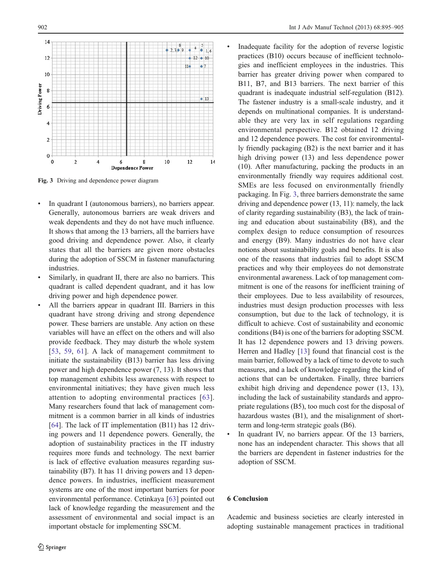<span id="page-7-0"></span>

Fig. 3 Driving and dependence power diagram

- In quadrant I (autonomous barriers), no barriers appear. Generally, autonomous barriers are weak drivers and weak dependents and they do not have much influence. It shows that among the 13 barriers, all the barriers have good driving and dependence power. Also, it clearly states that all the barriers are given more obstacles during the adoption of SSCM in fastener manufacturing industries.
- Similarly, in quadrant II, there are also no barriers. This quadrant is called dependent quadrant, and it has low driving power and high dependence power.
- All the barriers appear in quadrant III. Barriers in this quadrant have strong driving and strong dependence power. These barriers are unstable. Any action on these variables will have an effect on the others and will also provide feedback. They may disturb the whole system [\[53](#page-10-0), [59,](#page-10-0) [61\]](#page-10-0). A lack of management commitment to initiate the sustainability (B13) barrier has less driving power and high dependence power (7, 13). It shows that top management exhibits less awareness with respect to environmental initiatives; they have given much less attention to adopting environmental practices [[63](#page-10-0)]. Many researchers found that lack of management commitment is a common barrier in all kinds of industries [\[64](#page-10-0)]. The lack of IT implementation (B11) has 12 driving powers and 11 dependence powers. Generally, the adoption of sustainability practices in the IT industry requires more funds and technology. The next barrier is lack of effective evaluation measures regarding sustainability (B7). It has 11 driving powers and 13 dependence powers. In industries, inefficient measurement systems are one of the most important barriers for poor environmental performance. Cetinkaya [[63\]](#page-10-0) pointed out lack of knowledge regarding the measurement and the assessment of environmental and social impact is an important obstacle for implementing SSCM.
- Inadequate facility for the adoption of reverse logistic practices (B10) occurs because of inefficient technologies and inefficient employees in the industries. This barrier has greater driving power when compared to B11, B7, and B13 barriers. The next barrier of this quadrant is inadequate industrial self-regulation (B12). The fastener industry is a small-scale industry, and it depends on multinational companies. It is understandable they are very lax in self regulations regarding environmental perspective. B12 obtained 12 driving and 12 dependence powers. The cost for environmentally friendly packaging (B2) is the next barrier and it has high driving power (13) and less dependence power (10). After manufacturing, packing the products in an environmentally friendly way requires additional cost. SMEs are less focused on environmentally friendly packaging. In Fig. 3, three barriers demonstrate the same driving and dependence power (13, 11): namely, the lack of clarity regarding sustainability (B3), the lack of training and education about sustainability (B8), and the complex design to reduce consumption of resources and energy (B9). Many industries do not have clear notions about sustainability goals and benefits. It is also one of the reasons that industries fail to adopt SSCM practices and why their employees do not demonstrate environmental awareness. Lack of top management commitment is one of the reasons for inefficient training of their employees. Due to less availability of resources, industries must design production processes with less consumption, but due to the lack of technology, it is difficult to achieve. Cost of sustainability and economic conditions (B4) is one of the barriers for adopting SSCM. It has 12 dependence powers and 13 driving powers. Herren and Hadley [\[13](#page-9-0)] found that financial cost is the main barrier, followed by a lack of time to devote to such measures, and a lack of knowledge regarding the kind of actions that can be undertaken. Finally, three barriers exhibit high driving and dependence power (13, 13), including the lack of sustainability standards and appropriate regulations (B5), too much cost for the disposal of hazardous wastes (B1), and the misalignment of shortterm and long-term strategic goals (B6).
- In quadrant IV, no barriers appear. Of the 13 barriers, none has an independent character. This shows that all the barriers are dependent in fastener industries for the adoption of SSCM.

# 6 Conclusion

Academic and business societies are clearly interested in adopting sustainable management practices in traditional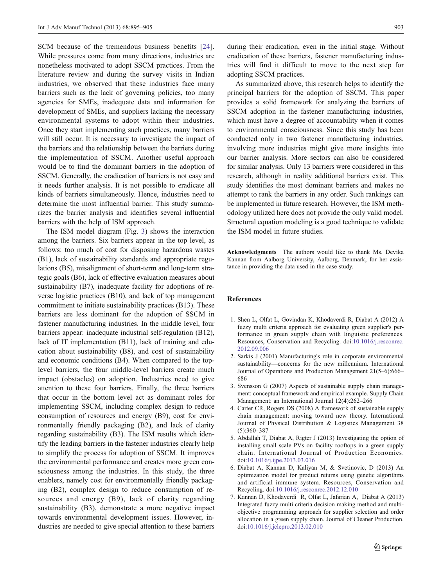<span id="page-8-0"></span>SCM because of the tremendous business benefits [\[24](#page-9-0)]. While pressures come from many directions, industries are nonetheless motivated to adopt SSCM practices. From the literature review and during the survey visits in Indian industries, we observed that these industries face many barriers such as the lack of governing policies, too many agencies for SMEs, inadequate data and information for development of SMEs, and suppliers lacking the necessary environmental systems to adopt within their industries. Once they start implementing such practices, many barriers will still occur. It is necessary to investigate the impact of the barriers and the relationship between the barriers during the implementation of SSCM. Another useful approach would be to find the dominant barriers in the adoption of SSCM. Generally, the eradication of barriers is not easy and it needs further analysis. It is not possible to eradicate all kinds of barriers simultaneously. Hence, industries need to determine the most influential barrier. This study summarizes the barrier analysis and identifies several influential barriers with the help of ISM approach.

The ISM model diagram (Fig. [3](#page-7-0)) shows the interaction among the barriers. Six barriers appear in the top level, as follows: too much of cost for disposing hazardous wastes (B1), lack of sustainability standards and appropriate regulations (B5), misalignment of short-term and long-term strategic goals (B6), lack of effective evaluation measures about sustainability (B7), inadequate facility for adoptions of reverse logistic practices (B10), and lack of top management commitment to initiate sustainability practices (B13). These barriers are less dominant for the adoption of SSCM in fastener manufacturing industries. In the middle level, four barriers appear: inadequate industrial self-regulation (B12), lack of IT implementation (B11), lack of training and education about sustainability (B8), and cost of sustainability and economic conditions (B4). When compared to the toplevel barriers, the four middle-level barriers create much impact (obstacles) on adoption. Industries need to give attention to these four barriers. Finally, the three barriers that occur in the bottom level act as dominant roles for implementing SSCM, including complex design to reduce consumption of resources and energy (B9), cost for environmentally friendly packaging (B2), and lack of clarity regarding sustainability (B3). The ISM results which identify the leading barriers in the fastener industries clearly help to simplify the process for adoption of SSCM. It improves the environmental performance and creates more green consciousness among the industries. In this study, the three enablers, namely cost for environmentally friendly packaging (B2), complex design to reduce consumption of resources and energy (B9), lack of clarity regarding sustainability (B3), demonstrate a more negative impact towards environmental development issues. However, industries are needed to give special attention to these barriers

during their eradication, even in the initial stage. Without eradication of these barriers, fastener manufacturing industries will find it difficult to move to the next step for adopting SSCM practices.

As summarized above, this research helps to identify the principal barriers for the adoption of SSCM. This paper provides a solid framework for analyzing the barriers of SSCM adoption in the fastener manufacturing industries, which must have a degree of accountability when it comes to environmental consciousness. Since this study has been conducted only in two fastener manufacturing industries, involving more industries might give more insights into our barrier analysis. More sectors can also be considered for similar analysis. Only 13 barriers were considered in this research, although in reality additional barriers exist. This study identifies the most dominant barriers and makes no attempt to rank the barriers in any order. Such rankings can be implemented in future research. However, the ISM methodology utilized here does not provide the only valid model. Structural equation modeling is a good technique to validate the ISM model in future studies.

Acknowledgments The authors would like to thank Ms. Devika Kannan from Aalborg University, Aalborg, Denmark, for her assistance in providing the data used in the case study.

# References

- 1. Shen L, Olfat L, Govindan K, Khodaverdi R, Diabat A (2012) A fuzzy multi criteria approach for evaluating green supplier's performance in green supply chain with linguistic preferences. Resources, Conservation and Recycling. doi:[10.1016/j.resconrec.](http://dx.doi.org/10.1016/j.resconrec.2012.09.006) [2012.09.006](http://dx.doi.org/10.1016/j.resconrec.2012.09.006)
- 2. Sarkis J (2001) Manufacturing's role in corporate environmental sustainability—concerns for the new millennium. International Journal of Operations and Production Management 21(5–6):666– 686
- 3. Svensson G (2007) Aspects of sustainable supply chain management: conceptual framework and empirical example. Supply Chain Management: an International Journal 12(4):262–266
- 4. Carter CR, Rogers DS (2008) A framework of sustainable supply chain management: moving toward new theory. International Journal of Physical Distribution & Logistics Management 38 (5):360–387
- 5. Abdallah T, Diabat A, Rigter J (2013) Investigating the option of installing small scale PVs on facility rooftops in a green supply chain. International Journal of Production Economics. doi[:10.1016/j.ijpe.2013.03.016](http://dx.doi.org/10.1016/j.ijpe.2013.03.016)
- 6. Diabat A, Kannan D, Kaliyan M, & Svetinovic, D (2013) An optimization model for product returns using genetic algorithms and artificial immune system. Resources, Conservation and Recycling. doi:[10.1016/j.resconrec.2012.12.010](http://dx.doi.org/10.1016/j.resconrec.2012.12.010)
- 7. Kannan D, Khodaverdi R, Olfat L, Jafarian A, Diabat A (2013) Integrated fuzzy multi criteria decision making method and multiobjective programming approach for supplier selection and order allocation in a green supply chain. Journal of Cleaner Production. doi[:10.1016/j.jclepro.2013.02.010](http://dx.doi.org/10.1016/j.jclepro.2013.02.010)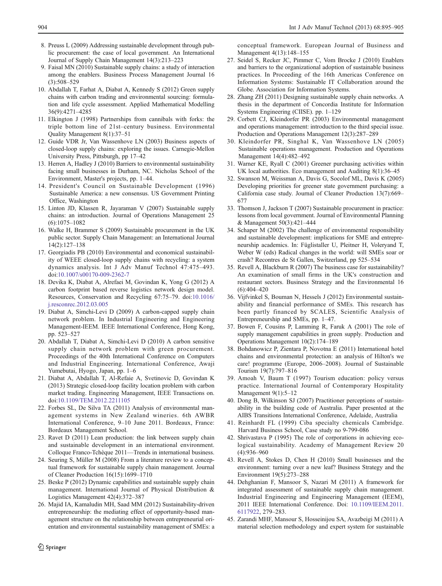- <span id="page-9-0"></span>8. Preuss L (2009) Addressing sustainable development through public procurement: the case of local government. An International Journal of Supply Chain Management 14(3):213–223
- 9. Faisal MN (2010) Sustainable supply chains: a study of interaction among the enablers. Business Process Management Journal 16  $(3):508 - 529$
- 10. Abdallah T, Farhat A, Diabat A, Kennedy S (2012) Green supply chains with carbon trading and environmental sourcing: formulation and life cycle assessment. Applied Mathematical Modelling 36(9):4271–4285
- 11. Elkington J (1998) Partnerships from cannibals with forks: the triple bottom line of 21st–century business. Environmental Quality Management 8(1):37–51
- 12. Guide VDR Jr, Van Wassenhove LN (2003) Business aspects of closed-loop supply chains: exploring the issues. Carnegie-Mellon University Press, Pittsburgh, pp 17–42
- 13. Herren A, Hadley J (2010) Barriers to environmental sustainability facing small businesses in Durham, NC. Nicholas School of the Environment, Master's projects, pp. 1–44.
- 14. President's Council on Sustainable Development (1996) Sustainable America: a new consensus. US Government Printing Office, Washington
- 15. Linton JD, Klassen R, Jayaraman V (2007) Sustainable supply chains: an introduction. Journal of Operations Management 25 (6):1075–1082
- 16. Walke H, Brammer S (2009) Sustainable procurement in the UK public sector. Supply Chain Management: an International Journal 14(2):127–138
- 17. Georgiadis PB (2010) Environmental and economical sustainability of WEEE closed-loop supply chains with recycling: a system dynamics analysis. Int J Adv Manuf Technol 47:475–493. doi[:10.1007/s00170-009-2362-7](http://dx.doi.org/10.1007/s00170-009-2362-7)
- 18. Devika K, Diabat A, Alrefaei M, Govindan K, Yong G (2012) A carbon footprint based reverse logistics network design model. Resources, Conservation and Recycling 67:75–79. doi[:10.1016/](http://dx.doi.org/10.1016/j.resconrec.2012.03.005) [j.resconrec.2012.03.005](http://dx.doi.org/10.1016/j.resconrec.2012.03.005)
- 19. Diabat A, Simchi-Levi D (2009) A carbon-capped supply chain network problem. In Industrial Engineering and Engineering Management-IEEM. IEEE International Conference, Hong Kong, pp. 523–527
- 20. Abdallah T, Diabat A, Simchi-Levi D (2010) A carbon sensitive supply chain network problem with green procurement. Proceedings of the 40th International Conference on Computers and Industrial Engineering. International Conference, Awaji Yumebutai, Hyogo, Japan, pp. 1–6
- 21. Diabat A, Abdallah T, Al-Refaie A, Svetinovic D, Govindan K (2013) Strategic closed-loop facility location problem with carbon market trading. Engineering Management, IEEE Transactions on. doi[:10.1109/TEM.2012.2211105](http://dx.doi.org/10.1109/TEM.2012.2211105)
- 22. Forbes SL, De Silva TA (2011) Analysis of environmental management systems in New Zealand wineries. 6th AWBR International Conference, 9–10 June 2011. Bordeaux, France: Bordeaux Management School.
- 23. Ravet D (2011) Lean production: the link between supply chain and sustainable development in an international environment. Colloque Franco-Tchèque 2011—Trends in international business.
- 24. Seuring S, Müller M (2008) From a literature review to a conceptual framework for sustainable supply chain management. Journal of Cleaner Production 16(15):1699–1710
- 25. Beske P (2012) Dynamic capabilities and sustainable supply chain management. International Journal of Physical Distribution & Logistics Management 42(4):372–387
- 26. Majid IA, Kamaludin MH, Saad MM (2012) Sustainability-driven entrepreneurship: the mediating effect of opportunity-based management structure on the relationship between entrepreneurial orientation and environmental sustainability management of SMEs: a

 $\textcircled{2}$  Springer

conceptual framework. European Journal of Business and Management 4(13):148–155

- 27. Seidel S, Recker JC, Pimmer C, Vom Brocke J (2010) Enablers and barriers to the organizational adoption of sustainable business practices. In Proceeding of the 16th Americas Conference on Information Systems: Sustainable IT Collaboration around the Globe. Association for Information Systems.
- 28. Zhang ZH (2011) Designing sustainable supply chain networks. A thesis in the department of Concordia Institute for Information Systems Engineering (CIISE). pp. 1–129
- 29. Corbett CJ, Kleindorfer PR (2003) Environmental management and operations management: introduction to the third special issue. Production and Operations Management 12(3):287–289
- 30. Kleindorfer PR, Singhal K, Van Wassenhove LN (2005) Sustainable operations management. Production and Operations Management 14(4):482–492
- 31. Warner KE, Ryall C (2001) Greener purchasing activities within UK local authorities. Eco management and Auditing 8(1):36–45
- 32. Swanson M, Weissman A, Davis G, Socolof ML, Davis K (2005) Developing priorities for greener state government purchasing: a California case study. Journal of Cleaner Production 13(7):669– 677
- 33. Thomson J, Jackson T (2007) Sustainable procurement in practice: lessons from local government. Journal of Environmental Planning & Management 50(3):421–444
- 34. Schaper M (2002) The challenge of environmental responsibility and sustainable development: implications for SME and entrepreneurship academics. In: Füglistaller U, Pleitner H, Voleryand T, Weber W (eds) Radical changes in the world: will SMEs soar or crash? Recontres de St Gallen, Switzerland, pp 525–534
- 35. Revell A, Blackburn R (2007) The business case for sustainability? An examination of small firms in the UK's construction and restaurant sectors. Business Strategy and the Environmental 16  $(6)$  $-404 - 420$
- 36. Vijfvinkel S, Bouman N, Hessels J (2012) Environmental sustainability and financial performance of SMEs. This research has been partly financed by SCALES, Scientific Analysis of Entrepreneurship and SMEs, pp. 1–47.
- 37. Bowen F, Cousins P, Lamming R, Faruk A (2001) The role of supply management capabilities in green supply. Production and Operations Management 10(2):174–189
- 38. Bohdanowicz P, Zientara P, Novotna E (2011) International hotel chains and environmental protection: an analysis of Hilton's we care! programme (Europe, 2006–2008). Journal of Sustainable Tourism 19(7):797–816
- 39. Amoah V, Baum T (1997) Tourism education: policy versus practice. International Journal of Contemporary Hospitality Management 9(1):5–12
- 40. Dong B, Wilkinson SJ (2007) Practitioner perceptions of sustainability in the building code of Australia. Paper presented at the AIBS Transitions International Conference, Adelaide, Australia
- 41. Reinhardt FL (1999) Ciba specialty chemicals Cambridge. Harvard Business School, Case study no 9-799-086
- 42. Shrivastava P (1995) The role of corporations in achieving ecological sustainability. Academy of Management Review 20 (4):936–960
- 43. Revell A, Stokes D, Chen H (2010) Small businesses and the environment: turning over a new leaf? Business Strategy and the Environment 19(5):273–288
- 44. Dehghanian F, Mansoor S, Nazari M (2011) A framework for integrated assessment of sustainable supply chain management. Industrial Engineering and Engineering Management (IEEM), 2011 IEEE International Conference. Doi: [10.1109/IEEM.2011.](http://dx.doi.org/10.1109/IEEM.2011.6117922) [6117922,](http://dx.doi.org/10.1109/IEEM.2011.6117922) 279–283.
- 45. Zarandi MHF, Mansour S, Hosseinijou SA, Avazbeigi M (2011) A material selection methodology and expert system for sustainable